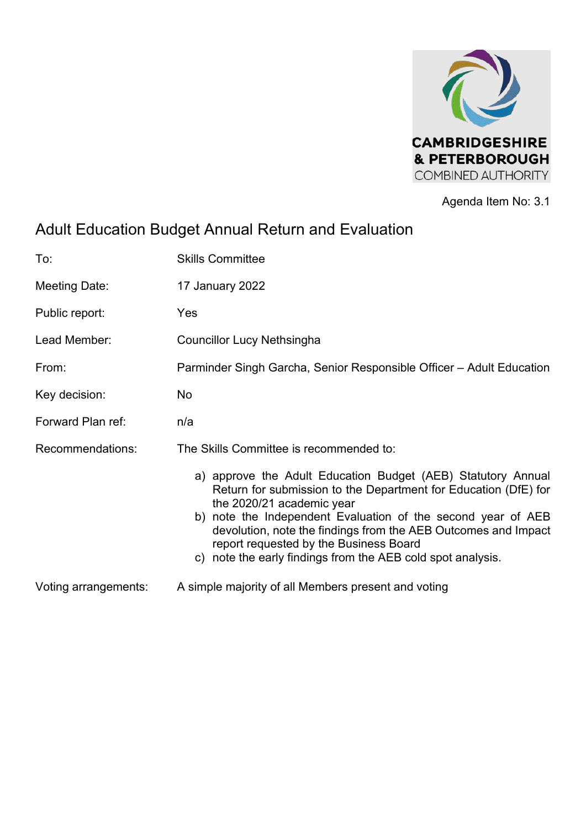

Agenda Item No: 3.1

# Adult Education Budget Annual Return and Evaluation

| To:                  | <b>Skills Committee</b>                                                                                                                                                                                                                                                                                                                                                                                 |
|----------------------|---------------------------------------------------------------------------------------------------------------------------------------------------------------------------------------------------------------------------------------------------------------------------------------------------------------------------------------------------------------------------------------------------------|
| Meeting Date:        | 17 January 2022                                                                                                                                                                                                                                                                                                                                                                                         |
| Public report:       | Yes                                                                                                                                                                                                                                                                                                                                                                                                     |
| Lead Member:         | <b>Councillor Lucy Nethsingha</b>                                                                                                                                                                                                                                                                                                                                                                       |
| From:                | Parminder Singh Garcha, Senior Responsible Officer – Adult Education                                                                                                                                                                                                                                                                                                                                    |
| Key decision:        | <b>No</b>                                                                                                                                                                                                                                                                                                                                                                                               |
| Forward Plan ref:    | n/a                                                                                                                                                                                                                                                                                                                                                                                                     |
| Recommendations:     | The Skills Committee is recommended to:                                                                                                                                                                                                                                                                                                                                                                 |
|                      | a) approve the Adult Education Budget (AEB) Statutory Annual<br>Return for submission to the Department for Education (DfE) for<br>the 2020/21 academic year<br>b) note the Independent Evaluation of the second year of AEB<br>devolution, note the findings from the AEB Outcomes and Impact<br>report requested by the Business Board<br>c) note the early findings from the AEB cold spot analysis. |
| Voting arrangements: | A simple majority of all Members present and voting                                                                                                                                                                                                                                                                                                                                                     |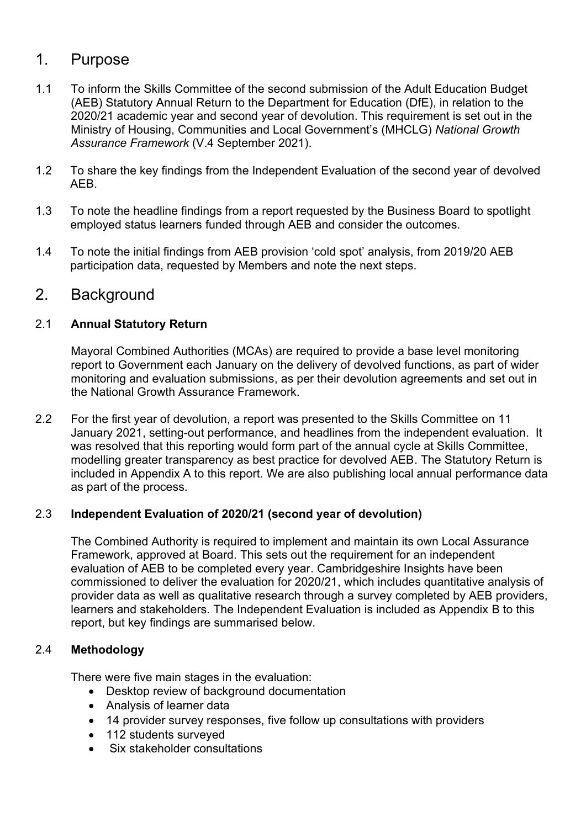# 1. Purpose

- 1.1 To inform the Skills Committee of the second submission of the Adult Education Budget (AEB) Statutory Annual Return to the Department for Education (DfE), in relation to the 2020/21 academic year and second year of devolution. This requirement is set out in the Ministry of Housing, Communities and Local Government's (MHCLG) *National Growth Assurance Framework* (V.4 September 2021).
- 1.2 To share the key findings from the Independent Evaluation of the second year of devolved AEB.
- 1.3 To note the headline findings from a report requested by the Business Board to spotlight employed status learners funded through AEB and consider the outcomes.
- 1.4 To note the initial findings from AEB provision 'cold spot' analysis, from 2019/20 AEB participation data, requested by Members and note the next steps.

# 2. Background

## 2.1 **Annual Statutory Return**

Mayoral Combined Authorities (MCAs) are required to provide a base level monitoring report to Government each January on the delivery of devolved functions, as part of wider monitoring and evaluation submissions, as per their devolution agreements and set out in the National Growth Assurance Framework.

2.2 For the first year of devolution, a report was presented to the Skills Committee on 11 January 2021, setting-out performance, and headlines from the independent evaluation. It was resolved that this reporting would form part of the annual cycle at Skills Committee, modelling greater transparency as best practice for devolved AEB. The Statutory Return is included in Appendix A to this report. We are also publishing local annual performance data as part of the process.

## 2.3 **Independent Evaluation of 2020/21 (second year of devolution)**

The Combined Authority is required to implement and maintain its own Local Assurance Framework, approved at Board. This sets out the requirement for an independent evaluation of AEB to be completed every year. Cambridgeshire Insights have been commissioned to deliver the evaluation for 2020/21, which includes quantitative analysis of provider data as well as qualitative research through a survey completed by AEB providers, learners and stakeholders. The Independent Evaluation is included as Appendix B to this report, but key findings are summarised below.

## 2.4 **Methodology**

There were five main stages in the evaluation:

- Desktop review of background documentation
- Analysis of learner data
- 14 provider survey responses, five follow up consultations with providers
- 112 students surveyed
- Six stakeholder consultations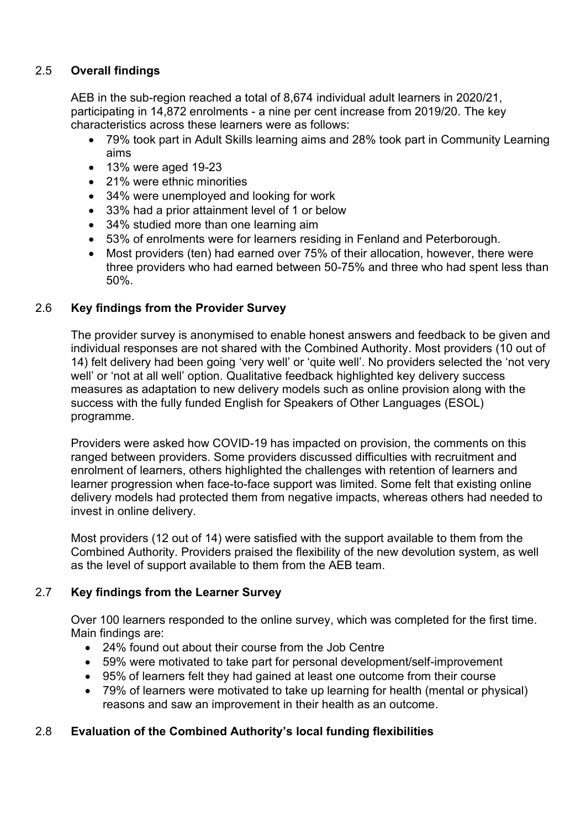## 2.5 **Overall findings**

AEB in the sub-region reached a total of 8,674 individual adult learners in 2020/21, participating in 14,872 enrolments - a nine per cent increase from 2019/20. The key characteristics across these learners were as follows:

- 79% took part in Adult Skills learning aims and 28% took part in Community Learning aims
- 13% were aged 19-23
- 21% were ethnic minorities
- 34% were unemployed and looking for work
- 33% had a prior attainment level of 1 or below
- 34% studied more than one learning aim
- 53% of enrolments were for learners residing in Fenland and Peterborough.
- Most providers (ten) had earned over 75% of their allocation, however, there were three providers who had earned between 50-75% and three who had spent less than 50%.

## 2.6 **Key findings from the Provider Survey**

The provider survey is anonymised to enable honest answers and feedback to be given and individual responses are not shared with the Combined Authority. Most providers (10 out of 14) felt delivery had been going 'very well' or 'quite well'. No providers selected the 'not very well' or 'not at all well' option. Qualitative feedback highlighted key delivery success measures as adaptation to new delivery models such as online provision along with the success with the fully funded English for Speakers of Other Languages (ESOL) programme.

Providers were asked how COVID-19 has impacted on provision, the comments on this ranged between providers. Some providers discussed difficulties with recruitment and enrolment of learners, others highlighted the challenges with retention of learners and learner progression when face-to-face support was limited. Some felt that existing online delivery models had protected them from negative impacts, whereas others had needed to invest in online delivery.

Most providers (12 out of 14) were satisfied with the support available to them from the Combined Authority. Providers praised the flexibility of the new devolution system, as well as the level of support available to them from the AEB team.

## 2.7 **Key findings from the Learner Survey**

Over 100 learners responded to the online survey, which was completed for the first time. Main findings are:

- 24% found out about their course from the Job Centre
- 59% were motivated to take part for personal development/self-improvement
- 95% of learners felt they had gained at least one outcome from their course
- 79% of learners were motivated to take up learning for health (mental or physical) reasons and saw an improvement in their health as an outcome.

## 2.8 **Evaluation of the Combined Authority's local funding flexibilities**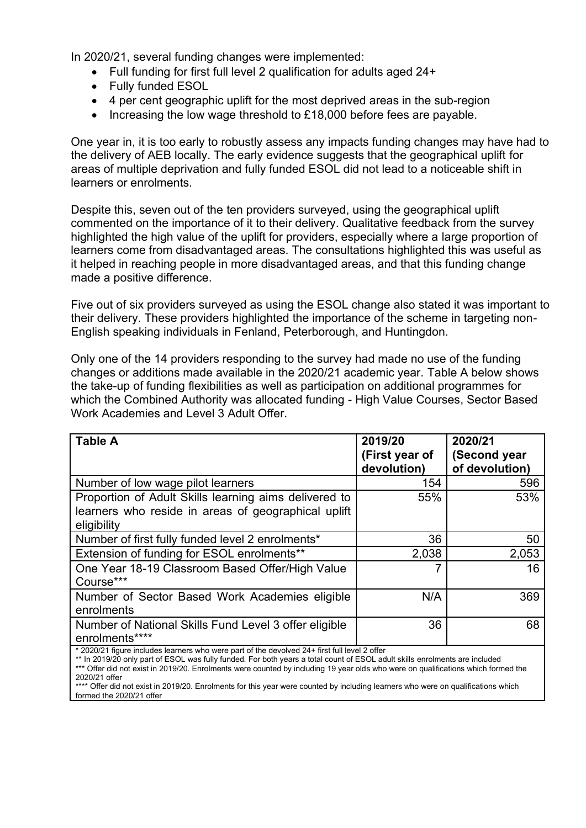In 2020/21, several funding changes were implemented:

- Full funding for first full level 2 qualification for adults aged 24+
- Fully funded ESOL
- 4 per cent geographic uplift for the most deprived areas in the sub-region
- Increasing the low wage threshold to £18,000 before fees are payable.

One year in, it is too early to robustly assess any impacts funding changes may have had to the delivery of AEB locally. The early evidence suggests that the geographical uplift for areas of multiple deprivation and fully funded ESOL did not lead to a noticeable shift in learners or enrolments.

Despite this, seven out of the ten providers surveyed, using the geographical uplift commented on the importance of it to their delivery. Qualitative feedback from the survey highlighted the high value of the uplift for providers, especially where a large proportion of learners come from disadvantaged areas. The consultations highlighted this was useful as it helped in reaching people in more disadvantaged areas, and that this funding change made a positive difference.

Five out of six providers surveyed as using the ESOL change also stated it was important to their delivery. These providers highlighted the importance of the scheme in targeting non-English speaking individuals in Fenland, Peterborough, and Huntingdon.

Only one of the 14 providers responding to the survey had made no use of the funding changes or additions made available in the 2020/21 academic year. Table A below shows the take-up of funding flexibilities as well as participation on additional programmes for which the Combined Authority was allocated funding - High Value Courses, Sector Based Work Academies and Level 3 Adult Offer.

| <b>Table A</b>                                                                                                                                                           | 2019/20<br>(First year of<br>devolution) | 2020/21<br>(Second year<br>of devolution) |
|--------------------------------------------------------------------------------------------------------------------------------------------------------------------------|------------------------------------------|-------------------------------------------|
| Number of low wage pilot learners                                                                                                                                        | 154                                      | 596                                       |
| Proportion of Adult Skills learning aims delivered to<br>learners who reside in areas of geographical uplift<br>eligibility                                              | 55%                                      | 53%                                       |
| Number of first fully funded level 2 enrolments*                                                                                                                         | 36                                       | 50                                        |
| Extension of funding for ESOL enrolments**                                                                                                                               | 2,038                                    | 2,053                                     |
| One Year 18-19 Classroom Based Offer/High Value<br>Course***                                                                                                             |                                          | 16                                        |
| Number of Sector Based Work Academies eligible<br>enrolments                                                                                                             | N/A                                      | 369                                       |
| Number of National Skills Fund Level 3 offer eligible<br>enrolments****<br>* 2020/21 figure includes learners who were part of the devolved 24+ first full level 2 offer | 36                                       | 68                                        |

\* 2020/21 figure includes learners who were part of the devolved 24+ first full level 2 offer

<sup>\*\*</sup> In 2019/20 only part of ESOL was fully funded. For both years a total count of ESOL adult skills enrolments are included \*\*\* Offer did not exist in 2019/20. Enrolments were counted by including 19 year olds who were on qualifications which formed the 2020/21 offer

<sup>\*\*\*\*</sup> Offer did not exist in 2019/20. Enrolments for this year were counted by including learners who were on qualifications which formed the 2020/21 offer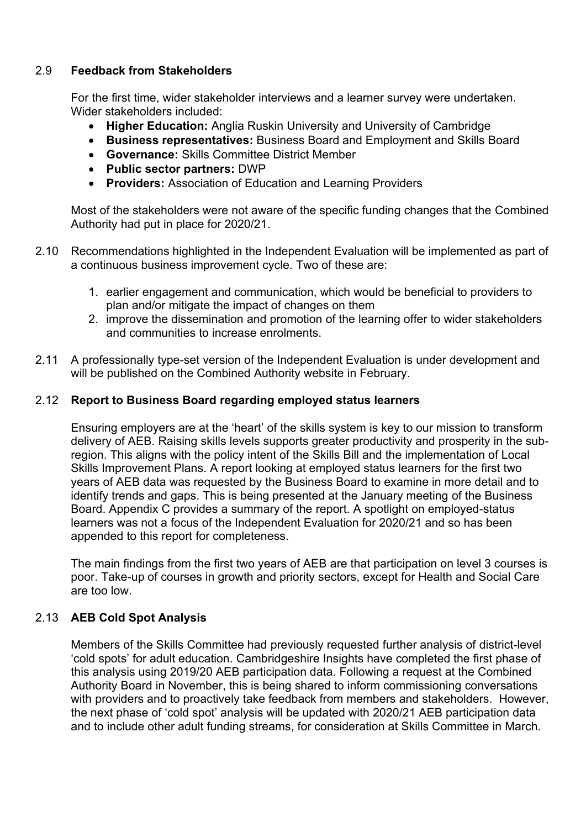## 2.9 **Feedback from Stakeholders**

For the first time, wider stakeholder interviews and a learner survey were undertaken. Wider stakeholders included:

- **Higher Education:** Anglia Ruskin University and University of Cambridge
- **Business representatives:** Business Board and Employment and Skills Board
- **Governance:** Skills Committee District Member
- **Public sector partners:** DWP
- **Providers:** Association of Education and Learning Providers

Most of the stakeholders were not aware of the specific funding changes that the Combined Authority had put in place for 2020/21.

- 2.10 Recommendations highlighted in the Independent Evaluation will be implemented as part of a continuous business improvement cycle. Two of these are:
	- 1. earlier engagement and communication, which would be beneficial to providers to plan and/or mitigate the impact of changes on them
	- 2. improve the dissemination and promotion of the learning offer to wider stakeholders and communities to increase enrolments.
- 2.11 A professionally type-set version of the Independent Evaluation is under development and will be published on the Combined Authority website in February.

#### 2.12 **Report to Business Board regarding employed status learners**

Ensuring employers are at the 'heart' of the skills system is key to our mission to transform delivery of AEB. Raising skills levels supports greater productivity and prosperity in the subregion. This aligns with the policy intent of the Skills Bill and the implementation of Local Skills Improvement Plans. A report looking at employed status learners for the first two years of AEB data was requested by the Business Board to examine in more detail and to identify trends and gaps. This is being presented at the January meeting of the Business Board. Appendix C provides a summary of the report. A spotlight on employed-status learners was not a focus of the Independent Evaluation for 2020/21 and so has been appended to this report for completeness.

The main findings from the first two years of AEB are that participation on level 3 courses is poor. Take-up of courses in growth and priority sectors, except for Health and Social Care are too low.

#### 2.13 **AEB Cold Spot Analysis**

Members of the Skills Committee had previously requested further analysis of district-level 'cold spots' for adult education. Cambridgeshire Insights have completed the first phase of this analysis using 2019/20 AEB participation data. Following a request at the Combined Authority Board in November, this is being shared to inform commissioning conversations with providers and to proactively take feedback from members and stakeholders. However, the next phase of 'cold spot' analysis will be updated with 2020/21 AEB participation data and to include other adult funding streams, for consideration at Skills Committee in March.